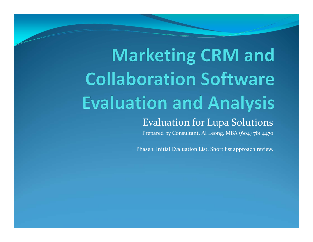# **Marketing CRM and Collaboration Software Evaluation and Analysis** Evaluation for Lupa Solutions

Prepared by Consultant, Al Leong, MBA (604) 781 <sup>4470</sup>

Phase 1: Initial Evaluation List, Short list approach review.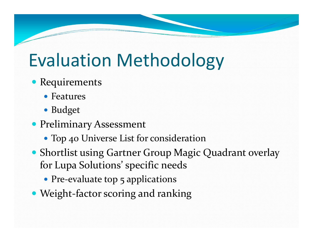## Evaluation Methodology

- Requirements
	- Features
	- Budget
- Preliminary Assessment
	- Top <sup>40</sup> Universe List for consideration
- Shortlist using Gartner Group Magic Quadrant overlay for Lupa Solutions' specific needs
	- Pre-evaluate top 5 applications
- Weight-factor scoring and ranking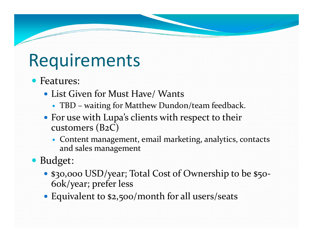#### Requirements

- Features:
	- List Given for Must Have/ Wants
		- TBD waiting for Matthew Dundon/team feedback.
	- For use with Lupa's clients with respec<sup>t</sup> to their customers (B2C)
		- Content management, email marketing, analytics, contacts and sales managemen<sup>t</sup>
- Budget:
	- \$30,000 USD/year; Total Cost of Ownership to be \$50  $\tilde{\mathcal{P}}$ 60k/year; prefer less
	- Equivalent to \$2,500/month for all users/seats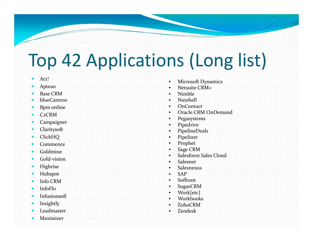# Top 42 Applications (Long list)

- $\bullet$ Act!
- $\bullet$ Aptean
- O Base CRM
- ۰ blueCamroo
- o Bpm online
- ٠ C2CRM
- $\bullet$ Campaigner
- $\bullet$ Claritysoft
- ۰ ClickHQ
- × Commence
- 0 Goldmine
- 0 Gold‐vision
- O **Highrise**
- $\bullet$ Hubspot
- o Info CRM
- ö InfoFlo
- × Infusionsoft
- ۰ Insightly
- 0 Leadmaster
- ö Maximizer
- •Microsoft Dynamics
- •Netsuite CRM+
- •Nimble
- •Nutshell
- •OnContact
- •Oracle CRM OnDemand
- •Pegasystems
- •Pipedrive
- •PipelineDeals
- •Pipeliner
- •Prophet
- •Sage CRM
- •• Salesforce Sales Cloud
- •Salesnet
- •Salesnexus
- •SAP
- •Soffront
- •SugarCRM
- •Work[etc]
- •**Workbooks**
- •ZohoCRM
- •Zendesk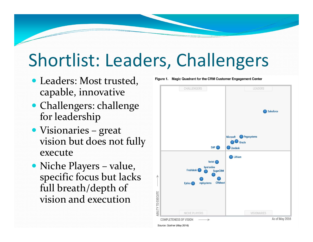## Shortlist: Leaders, Challengers

- Leaders: Most trusted, capable, innovative
- Challengers: challenge for leadership
- Visionaries grea<sup>t</sup> vision but does not fully execute
- Niche Players value, specific focus but lacks full breath/depth of vision and execution

Figure 1. Magic Quadrant for the CRM Customer Engagement Center

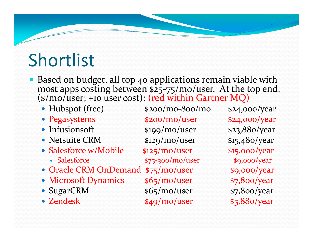## Shortlist

- Based on budget, all top <sup>40</sup> applications remain viable with most apps costing between \$25 ‐75/mo/user. At the top end, (\$/mo/user; +10 user cost): (red within Gartner MQ)
	- Hubspot (free) \$200/mo
	- Pegasystems  $$200/mo/user$  \$24,000/year
	- · Infusionsoft
	- Netsuite CRM
	- Salesforce w/Mobile \$125/mo/user \$15,000/year
		- Salesforce \$75
	- Oracle CRM OnDemand \$75/mo/user \$9,000/year
	- Microsoft Dynamics  $$65/mo/user$  \$7,800/year
	-
	- Zendesk

 $$199/mo/user$   $$23,880/year$ \$129/mo/user \$15,480/year \$75-300/mo/user \$9,000/year • SugarCRM  $$65/mo/user$  \$7,800/year

‐800/mo \$24,000/year  $$49/mo/user$   $$5,880/year$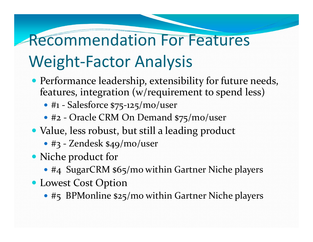#### Recommendation For Features Weight-Factor Analysis

- Performance leadership, extensibility for future needs, features, integration (w/requirement to spend less)
	- #1 ‐ Salesforce \$75 ‐125/mo/user
	- #2 Oracle CRM On Demand \$75/mo/user
- Value, less robust, but still a leading product
	- #3 ‐ Zendesk \$49/mo/user
- Niche product for
	- #4 SugarCRM \$65/mo within Gartner Niche players
- Lowest Cost Option
	- #5 BPMonline \$25/mo within Gartner Niche players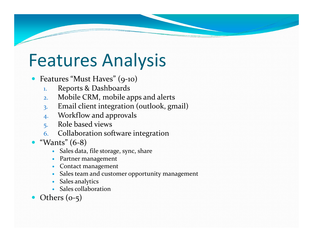#### Features Analysis

- $\bullet$ Features "Must Haves" (9-10)
	- 1.Reports & Dashboards
	- 2.Mobile CRM, mobile apps and alerts
	- 3. Email client integration (outlook, gmail)
	- 4. Workflow and approvals
	- 5. Role based views
	- 6.Collaboration software integration
- $\bullet$  "Wants" (6‐8)
	- O Sales data, file storage, sync, share
	- 0 Partner managemen<sup>t</sup>
	- 0 Contact managemen<sup>t</sup>
	- O • Sales team and customer opportunity management
	- $\bullet$ Sales analytics
	- Sales collaboration
- Others  $(o-5)$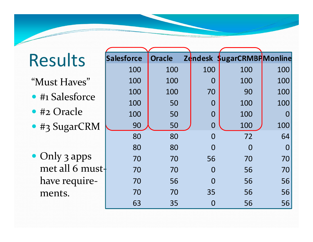#### **Salesforce Oracle Zendesk SugarCRM BPMonlin e** 100 100 100 100 100 100 100 100 100 100 100 100 100 100 100 100 100 100 100 100 100 100 100 50 0 100 090 **J** 50 J 0 J 100 J 100 80 80 0 72 6480 80 0 0 070 70 56 70 7070 70 0 56 70Results "Must Haves"• #1 Salesforce ● #2 Oracle ● #3 SugarCRM • Only 3 apps met all 6 must ‐

have require

ments.

‐

100

100

100

70

56

56

56

70 56 0 56 56

70 70 35 56 56

63 35 0 56 56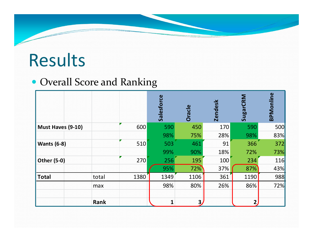#### Results

 $\equiv$ 

#### Overall Score and Ranking

|                    |             |      | Salesforce   | Oracle         | <b>Zendesk</b> | SugarCRM | <b>BPMonline</b> |
|--------------------|-------------|------|--------------|----------------|----------------|----------|------------------|
| Must Haves (9-10)  |             | 600  | 590          | 450            | 170            | 590      | 500              |
|                    |             |      | 98%          | 75%            | 28%            | 98%      | 83%              |
| <b>Wants (6-8)</b> |             | 510  | 503          | 461            | 91             | 366      | 372              |
|                    |             |      | 99%          | 90%            | 18%            | 72%      | 73%              |
| <b>Other (5-0)</b> |             | 270  | 256          | 195            | 100            | 234      | 116              |
|                    |             |      | 95%          | 72%            | 37%            | 87%      | 43%              |
| <b>Total</b>       | total       | 1380 | 1349         | 1106           | 361            | 1190     | 988              |
|                    | max         |      | 98%          | 80%            | 26%            | 86%      | 72%              |
|                    | <b>Rank</b> |      | $\mathbf{1}$ | 3 <sub>l</sub> |                |          |                  |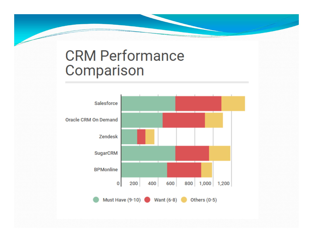#### **CRM Performance** Comparison

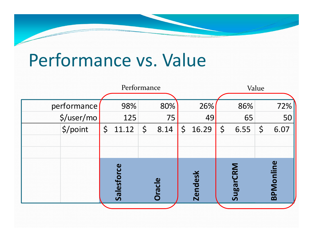#### Performance vs. Value

|             | Performance |         |             |      |                |       | Value       |      |                  |      |  |
|-------------|-------------|---------|-------------|------|----------------|-------|-------------|------|------------------|------|--|
|             |             |         |             |      |                |       |             |      |                  |      |  |
| performance |             | 98%     |             | 80%  |                | 26%   |             | 86%  |                  | 72%  |  |
| \$/user/mo  | 125         |         |             | 75   |                | 49    |             | 65   |                  | 50   |  |
| \$/point    |             | \$11.12 | $\varsigma$ | 8.14 | $\varsigma$    | 16.29 | $\varsigma$ | 6.55 | $\varsigma$      | 6.07 |  |
|             |             |         |             |      |                |       |             |      |                  |      |  |
|             |             |         |             |      |                |       |             |      |                  |      |  |
|             | Salesforce  |         |             |      | <b>Zendesk</b> |       | SugarCRM    |      | <b>BPMonline</b> |      |  |
|             |             |         |             |      |                |       |             |      |                  |      |  |
|             |             |         |             |      |                |       |             |      |                  |      |  |
|             |             |         | Oracle      |      |                |       |             |      |                  |      |  |
|             |             |         |             |      |                |       |             |      |                  |      |  |
|             |             |         |             |      |                |       |             |      |                  |      |  |